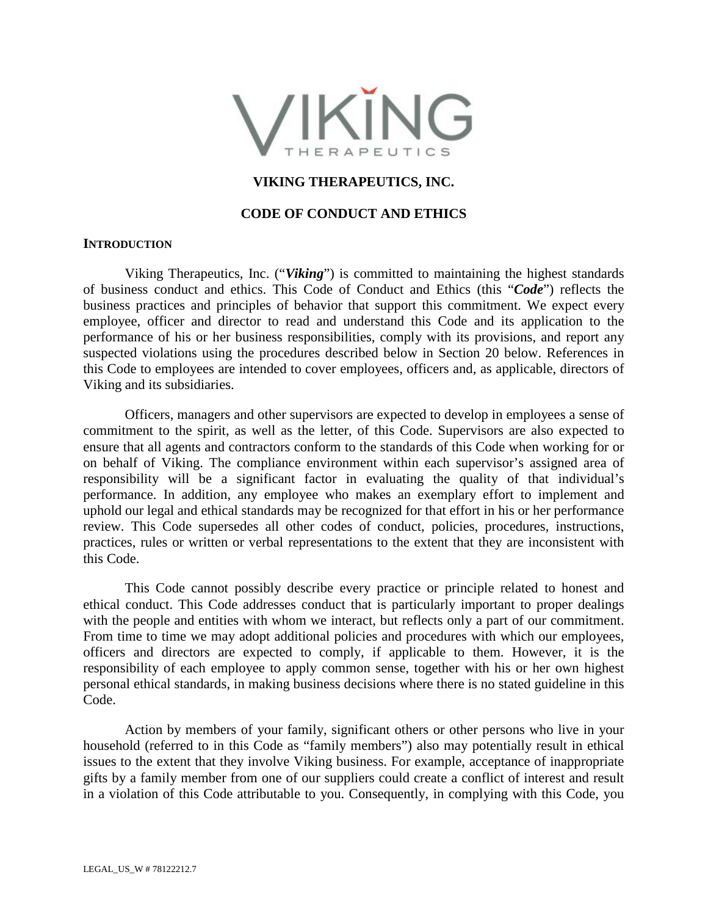

## **VIKING THERAPEUTICS, INC.**

#### **CODE OF CONDUCT AND ETHICS**

#### **INTRODUCTION**

Viking Therapeutics, Inc. ("*Viking*") is committed to maintaining the highest standards of business conduct and ethics. This Code of Conduct and Ethics (this "*Code*") reflects the business practices and principles of behavior that support this commitment. We expect every employee, officer and director to read and understand this Code and its application to the performance of his or her business responsibilities, comply with its provisions, and report any suspected violations using the procedures described below in Section 20 below. References in this Code to employees are intended to cover employees, officers and, as applicable, directors of Viking and its subsidiaries.

Officers, managers and other supervisors are expected to develop in employees a sense of commitment to the spirit, as well as the letter, of this Code. Supervisors are also expected to ensure that all agents and contractors conform to the standards of this Code when working for or on behalf of Viking. The compliance environment within each supervisor's assigned area of responsibility will be a significant factor in evaluating the quality of that individual's performance. In addition, any employee who makes an exemplary effort to implement and uphold our legal and ethical standards may be recognized for that effort in his or her performance review. This Code supersedes all other codes of conduct, policies, procedures, instructions, practices, rules or written or verbal representations to the extent that they are inconsistent with this Code.

This Code cannot possibly describe every practice or principle related to honest and ethical conduct. This Code addresses conduct that is particularly important to proper dealings with the people and entities with whom we interact, but reflects only a part of our commitment. From time to time we may adopt additional policies and procedures with which our employees, officers and directors are expected to comply, if applicable to them. However, it is the responsibility of each employee to apply common sense, together with his or her own highest personal ethical standards, in making business decisions where there is no stated guideline in this Code.

Action by members of your family, significant others or other persons who live in your household (referred to in this Code as "family members") also may potentially result in ethical issues to the extent that they involve Viking business. For example, acceptance of inappropriate gifts by a family member from one of our suppliers could create a conflict of interest and result in a violation of this Code attributable to you. Consequently, in complying with this Code, you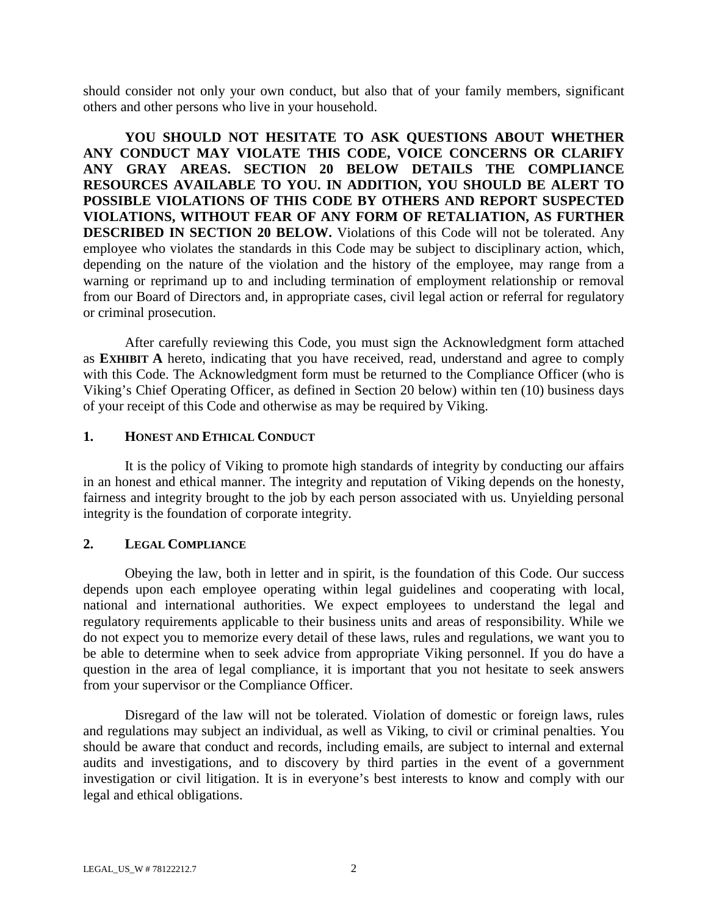should consider not only your own conduct, but also that of your family members, significant others and other persons who live in your household.

**YOU SHOULD NOT HESITATE TO ASK QUESTIONS ABOUT WHETHER ANY CONDUCT MAY VIOLATE THIS CODE, VOICE CONCERNS OR CLARIFY ANY GRAY AREAS. SECTION 20 BELOW DETAILS THE COMPLIANCE RESOURCES AVAILABLE TO YOU. IN ADDITION, YOU SHOULD BE ALERT TO POSSIBLE VIOLATIONS OF THIS CODE BY OTHERS AND REPORT SUSPECTED VIOLATIONS, WITHOUT FEAR OF ANY FORM OF RETALIATION, AS FURTHER DESCRIBED IN SECTION 20 BELOW.** Violations of this Code will not be tolerated. Any employee who violates the standards in this Code may be subject to disciplinary action, which, depending on the nature of the violation and the history of the employee, may range from a warning or reprimand up to and including termination of employment relationship or removal from our Board of Directors and, in appropriate cases, civil legal action or referral for regulatory or criminal prosecution.

After carefully reviewing this Code, you must sign the Acknowledgment form attached as **EXHIBIT A** hereto, indicating that you have received, read, understand and agree to comply with this Code. The Acknowledgment form must be returned to the Compliance Officer (who is Viking's Chief Operating Officer, as defined in Section 20 below) within ten (10) business days of your receipt of this Code and otherwise as may be required by Viking.

## **1. HONEST AND ETHICAL CONDUCT**

It is the policy of Viking to promote high standards of integrity by conducting our affairs in an honest and ethical manner. The integrity and reputation of Viking depends on the honesty, fairness and integrity brought to the job by each person associated with us. Unyielding personal integrity is the foundation of corporate integrity.

## **2. LEGAL COMPLIANCE**

Obeying the law, both in letter and in spirit, is the foundation of this Code. Our success depends upon each employee operating within legal guidelines and cooperating with local, national and international authorities. We expect employees to understand the legal and regulatory requirements applicable to their business units and areas of responsibility. While we do not expect you to memorize every detail of these laws, rules and regulations, we want you to be able to determine when to seek advice from appropriate Viking personnel. If you do have a question in the area of legal compliance, it is important that you not hesitate to seek answers from your supervisor or the Compliance Officer.

Disregard of the law will not be tolerated. Violation of domestic or foreign laws, rules and regulations may subject an individual, as well as Viking, to civil or criminal penalties. You should be aware that conduct and records, including emails, are subject to internal and external audits and investigations, and to discovery by third parties in the event of a government investigation or civil litigation. It is in everyone's best interests to know and comply with our legal and ethical obligations.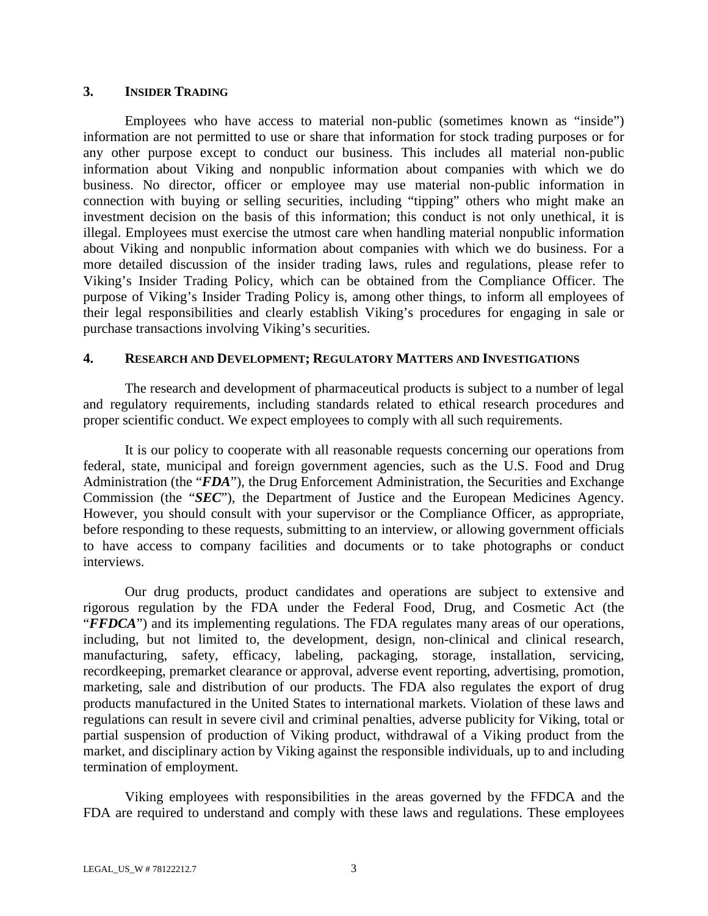#### **3. INSIDER TRADING**

Employees who have access to material non-public (sometimes known as "inside") information are not permitted to use or share that information for stock trading purposes or for any other purpose except to conduct our business. This includes all material non-public information about Viking and nonpublic information about companies with which we do business. No director, officer or employee may use material non-public information in connection with buying or selling securities, including "tipping" others who might make an investment decision on the basis of this information; this conduct is not only unethical, it is illegal. Employees must exercise the utmost care when handling material nonpublic information about Viking and nonpublic information about companies with which we do business. For a more detailed discussion of the insider trading laws, rules and regulations, please refer to Viking's Insider Trading Policy, which can be obtained from the Compliance Officer. The purpose of Viking's Insider Trading Policy is, among other things, to inform all employees of their legal responsibilities and clearly establish Viking's procedures for engaging in sale or purchase transactions involving Viking's securities.

## **4. RESEARCH AND DEVELOPMENT; REGULATORY MATTERS AND INVESTIGATIONS**

The research and development of pharmaceutical products is subject to a number of legal and regulatory requirements, including standards related to ethical research procedures and proper scientific conduct. We expect employees to comply with all such requirements.

It is our policy to cooperate with all reasonable requests concerning our operations from federal, state, municipal and foreign government agencies, such as the U.S. Food and Drug Administration (the "*FDA*"), the Drug Enforcement Administration, the Securities and Exchange Commission (the "*SEC*"), the Department of Justice and the European Medicines Agency. However, you should consult with your supervisor or the Compliance Officer, as appropriate, before responding to these requests, submitting to an interview, or allowing government officials to have access to company facilities and documents or to take photographs or conduct interviews.

Our drug products, product candidates and operations are subject to extensive and rigorous regulation by the FDA under the Federal Food, Drug, and Cosmetic Act (the "*FFDCA*") and its implementing regulations. The FDA regulates many areas of our operations, including, but not limited to, the development, design, non-clinical and clinical research, manufacturing, safety, efficacy, labeling, packaging, storage, installation, servicing, recordkeeping, premarket clearance or approval, adverse event reporting, advertising, promotion, marketing, sale and distribution of our products. The FDA also regulates the export of drug products manufactured in the United States to international markets. Violation of these laws and regulations can result in severe civil and criminal penalties, adverse publicity for Viking, total or partial suspension of production of Viking product, withdrawal of a Viking product from the market, and disciplinary action by Viking against the responsible individuals, up to and including termination of employment.

Viking employees with responsibilities in the areas governed by the FFDCA and the FDA are required to understand and comply with these laws and regulations. These employees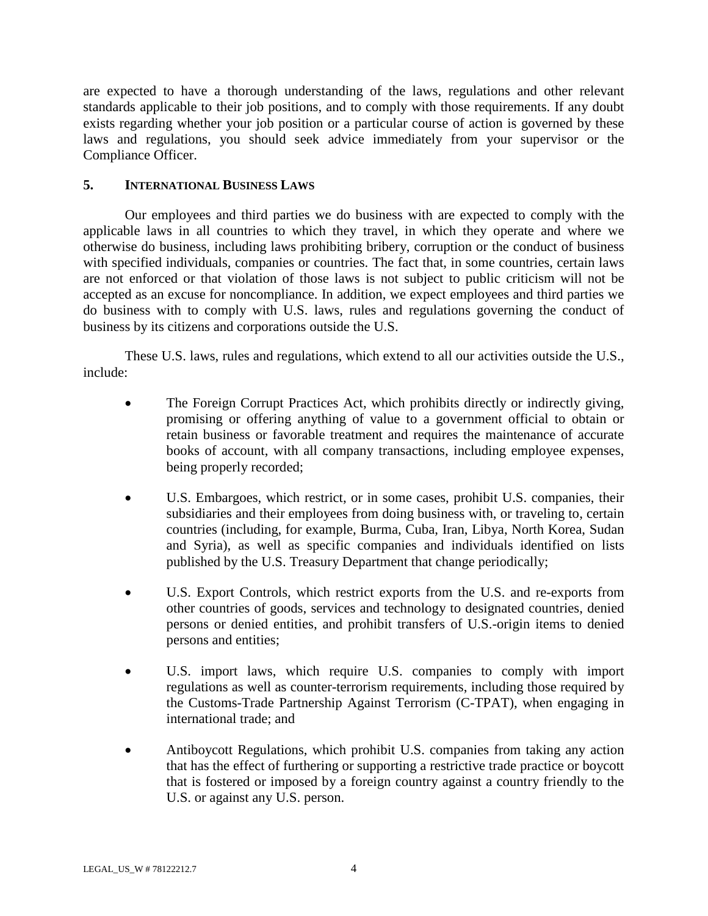are expected to have a thorough understanding of the laws, regulations and other relevant standards applicable to their job positions, and to comply with those requirements. If any doubt exists regarding whether your job position or a particular course of action is governed by these laws and regulations, you should seek advice immediately from your supervisor or the Compliance Officer.

## **5. INTERNATIONAL BUSINESS LAWS**

Our employees and third parties we do business with are expected to comply with the applicable laws in all countries to which they travel, in which they operate and where we otherwise do business, including laws prohibiting bribery, corruption or the conduct of business with specified individuals, companies or countries. The fact that, in some countries, certain laws are not enforced or that violation of those laws is not subject to public criticism will not be accepted as an excuse for noncompliance. In addition, we expect employees and third parties we do business with to comply with U.S. laws, rules and regulations governing the conduct of business by its citizens and corporations outside the U.S.

These U.S. laws, rules and regulations, which extend to all our activities outside the U.S., include:

- The Foreign Corrupt Practices Act, which prohibits directly or indirectly giving, promising or offering anything of value to a government official to obtain or retain business or favorable treatment and requires the maintenance of accurate books of account, with all company transactions, including employee expenses, being properly recorded;
- U.S. Embargoes, which restrict, or in some cases, prohibit U.S. companies, their subsidiaries and their employees from doing business with, or traveling to, certain countries (including, for example, Burma, Cuba, Iran, Libya, North Korea, Sudan and Syria), as well as specific companies and individuals identified on lists published by the U.S. Treasury Department that change periodically;
- U.S. Export Controls, which restrict exports from the U.S. and re-exports from other countries of goods, services and technology to designated countries, denied persons or denied entities, and prohibit transfers of U.S.-origin items to denied persons and entities;
- U.S. import laws, which require U.S. companies to comply with import regulations as well as counter-terrorism requirements, including those required by the Customs-Trade Partnership Against Terrorism (C-TPAT), when engaging in international trade; and
- Antiboycott Regulations, which prohibit U.S. companies from taking any action that has the effect of furthering or supporting a restrictive trade practice or boycott that is fostered or imposed by a foreign country against a country friendly to the U.S. or against any U.S. person.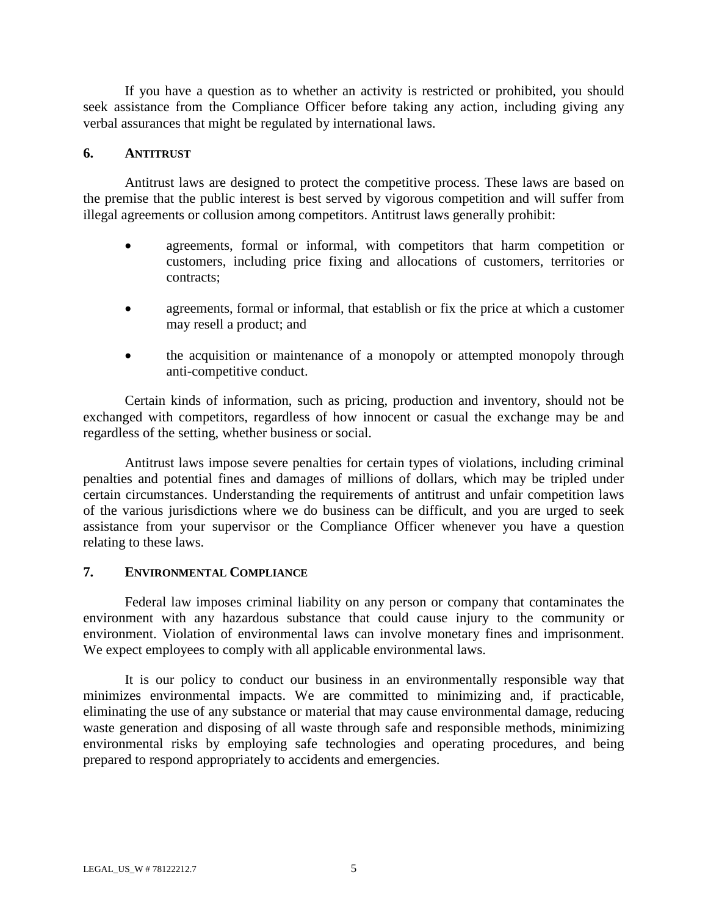If you have a question as to whether an activity is restricted or prohibited, you should seek assistance from the Compliance Officer before taking any action, including giving any verbal assurances that might be regulated by international laws.

#### **6. ANTITRUST**

Antitrust laws are designed to protect the competitive process. These laws are based on the premise that the public interest is best served by vigorous competition and will suffer from illegal agreements or collusion among competitors. Antitrust laws generally prohibit:

- agreements, formal or informal, with competitors that harm competition or customers, including price fixing and allocations of customers, territories or contracts;
- agreements, formal or informal, that establish or fix the price at which a customer may resell a product; and
- the acquisition or maintenance of a monopoly or attempted monopoly through anti-competitive conduct.

Certain kinds of information, such as pricing, production and inventory, should not be exchanged with competitors, regardless of how innocent or casual the exchange may be and regardless of the setting, whether business or social.

Antitrust laws impose severe penalties for certain types of violations, including criminal penalties and potential fines and damages of millions of dollars, which may be tripled under certain circumstances. Understanding the requirements of antitrust and unfair competition laws of the various jurisdictions where we do business can be difficult, and you are urged to seek assistance from your supervisor or the Compliance Officer whenever you have a question relating to these laws.

## **7. ENVIRONMENTAL COMPLIANCE**

Federal law imposes criminal liability on any person or company that contaminates the environment with any hazardous substance that could cause injury to the community or environment. Violation of environmental laws can involve monetary fines and imprisonment. We expect employees to comply with all applicable environmental laws.

It is our policy to conduct our business in an environmentally responsible way that minimizes environmental impacts. We are committed to minimizing and, if practicable, eliminating the use of any substance or material that may cause environmental damage, reducing waste generation and disposing of all waste through safe and responsible methods, minimizing environmental risks by employing safe technologies and operating procedures, and being prepared to respond appropriately to accidents and emergencies.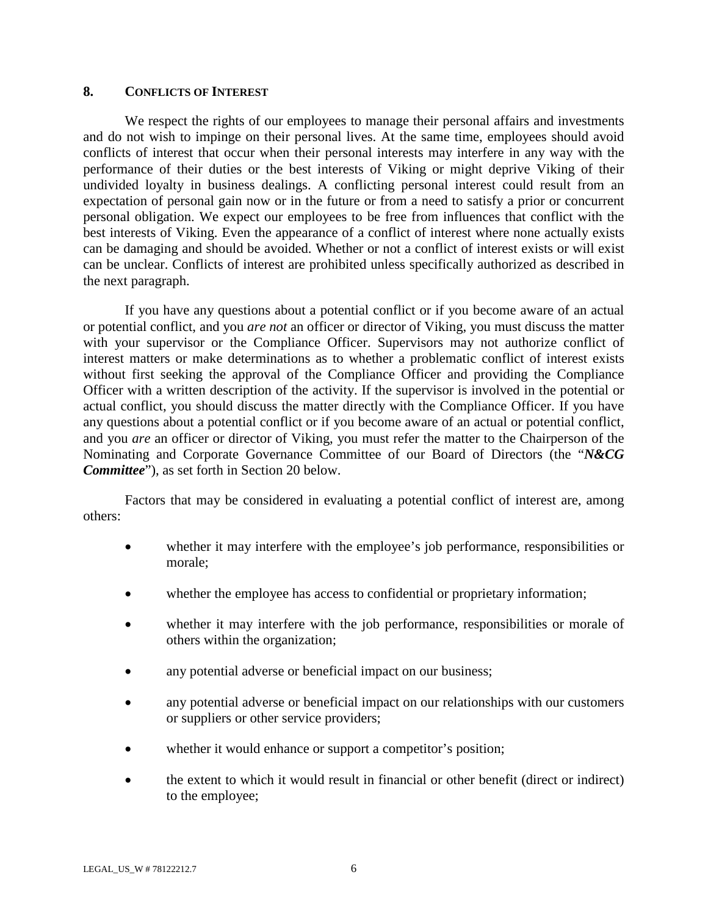#### **8. CONFLICTS OF INTEREST**

We respect the rights of our employees to manage their personal affairs and investments and do not wish to impinge on their personal lives. At the same time, employees should avoid conflicts of interest that occur when their personal interests may interfere in any way with the performance of their duties or the best interests of Viking or might deprive Viking of their undivided loyalty in business dealings. A conflicting personal interest could result from an expectation of personal gain now or in the future or from a need to satisfy a prior or concurrent personal obligation. We expect our employees to be free from influences that conflict with the best interests of Viking. Even the appearance of a conflict of interest where none actually exists can be damaging and should be avoided. Whether or not a conflict of interest exists or will exist can be unclear. Conflicts of interest are prohibited unless specifically authorized as described in the next paragraph.

If you have any questions about a potential conflict or if you become aware of an actual or potential conflict, and you *are not* an officer or director of Viking, you must discuss the matter with your supervisor or the Compliance Officer. Supervisors may not authorize conflict of interest matters or make determinations as to whether a problematic conflict of interest exists without first seeking the approval of the Compliance Officer and providing the Compliance Officer with a written description of the activity. If the supervisor is involved in the potential or actual conflict, you should discuss the matter directly with the Compliance Officer. If you have any questions about a potential conflict or if you become aware of an actual or potential conflict, and you *are* an officer or director of Viking, you must refer the matter to the Chairperson of the Nominating and Corporate Governance Committee of our Board of Directors (the "*N&CG Committee*"), as set forth in Section 20 below.

Factors that may be considered in evaluating a potential conflict of interest are, among others:

- whether it may interfere with the employee's job performance, responsibilities or morale;
- whether the employee has access to confidential or proprietary information;
- whether it may interfere with the job performance, responsibilities or morale of others within the organization;
- any potential adverse or beneficial impact on our business;
- any potential adverse or beneficial impact on our relationships with our customers or suppliers or other service providers;
- whether it would enhance or support a competitor's position;
- the extent to which it would result in financial or other benefit (direct or indirect) to the employee;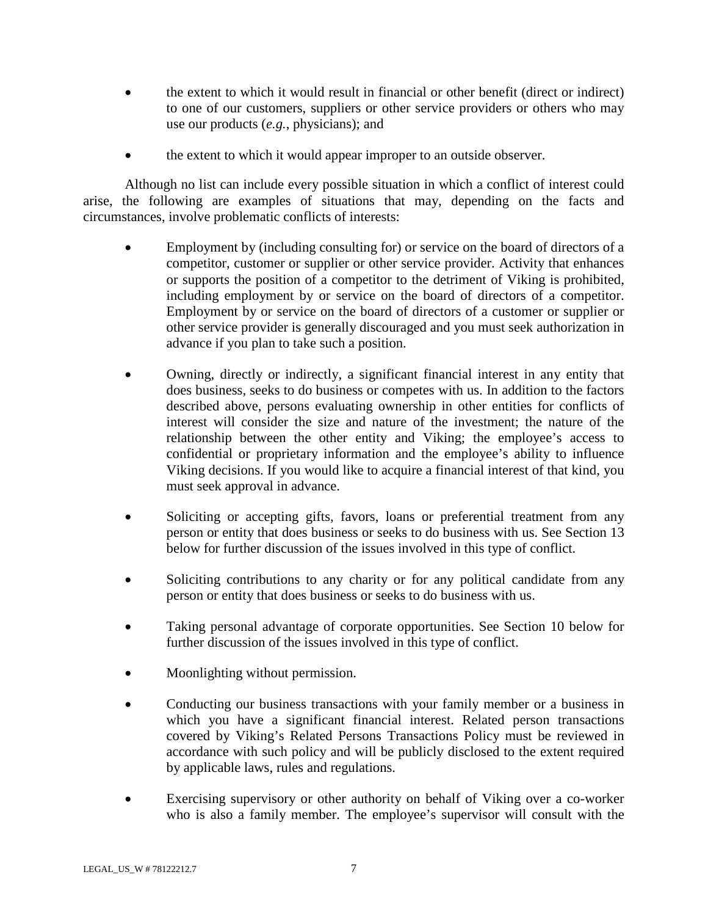- the extent to which it would result in financial or other benefit (direct or indirect) to one of our customers, suppliers or other service providers or others who may use our products (*e.g.*, physicians); and
- the extent to which it would appear improper to an outside observer.

Although no list can include every possible situation in which a conflict of interest could arise, the following are examples of situations that may, depending on the facts and circumstances, involve problematic conflicts of interests:

- Employment by (including consulting for) or service on the board of directors of a competitor, customer or supplier or other service provider. Activity that enhances or supports the position of a competitor to the detriment of Viking is prohibited, including employment by or service on the board of directors of a competitor. Employment by or service on the board of directors of a customer or supplier or other service provider is generally discouraged and you must seek authorization in advance if you plan to take such a position.
- Owning, directly or indirectly, a significant financial interest in any entity that does business, seeks to do business or competes with us. In addition to the factors described above, persons evaluating ownership in other entities for conflicts of interest will consider the size and nature of the investment; the nature of the relationship between the other entity and Viking; the employee's access to confidential or proprietary information and the employee's ability to influence Viking decisions. If you would like to acquire a financial interest of that kind, you must seek approval in advance.
- Soliciting or accepting gifts, favors, loans or preferential treatment from any person or entity that does business or seeks to do business with us. See Section 13 below for further discussion of the issues involved in this type of conflict.
- Soliciting contributions to any charity or for any political candidate from any person or entity that does business or seeks to do business with us.
- Taking personal advantage of corporate opportunities. See Section 10 below for further discussion of the issues involved in this type of conflict.
- Moonlighting without permission.
- Conducting our business transactions with your family member or a business in which you have a significant financial interest. Related person transactions covered by Viking's Related Persons Transactions Policy must be reviewed in accordance with such policy and will be publicly disclosed to the extent required by applicable laws, rules and regulations.
- Exercising supervisory or other authority on behalf of Viking over a co-worker who is also a family member. The employee's supervisor will consult with the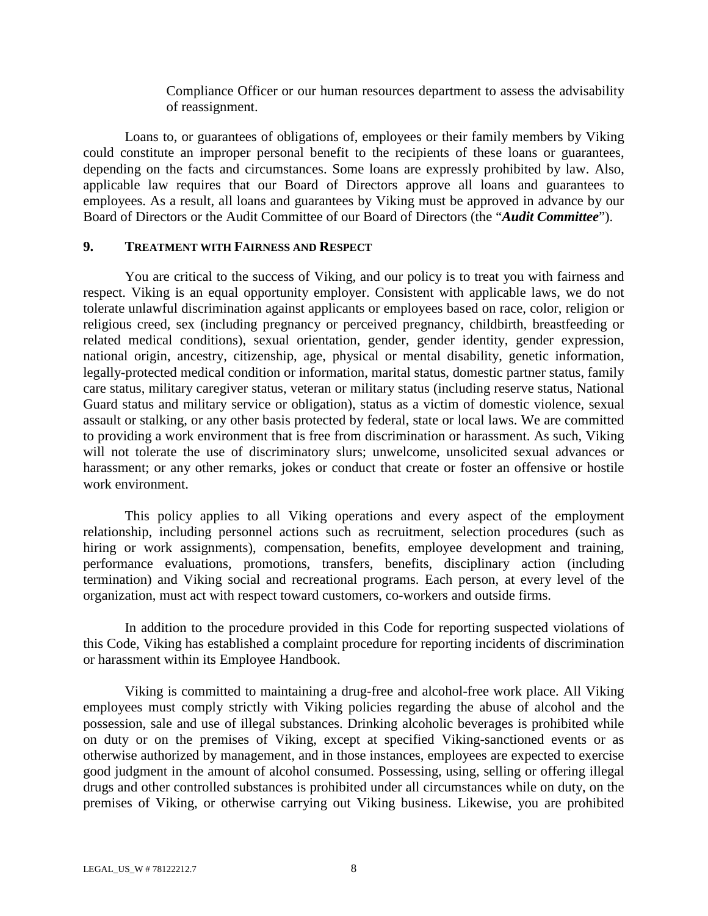Compliance Officer or our human resources department to assess the advisability of reassignment.

Loans to, or guarantees of obligations of, employees or their family members by Viking could constitute an improper personal benefit to the recipients of these loans or guarantees, depending on the facts and circumstances. Some loans are expressly prohibited by law. Also, applicable law requires that our Board of Directors approve all loans and guarantees to employees. As a result, all loans and guarantees by Viking must be approved in advance by our Board of Directors or the Audit Committee of our Board of Directors (the "*Audit Committee*").

#### **9. TREATMENT WITH FAIRNESS AND RESPECT**

You are critical to the success of Viking, and our policy is to treat you with fairness and respect. Viking is an equal opportunity employer. Consistent with applicable laws, we do not tolerate unlawful discrimination against applicants or employees based on race, color, religion or religious creed, sex (including pregnancy or perceived pregnancy, childbirth, breastfeeding or related medical conditions), sexual orientation, gender, gender identity, gender expression, national origin, ancestry, citizenship, age, physical or mental disability, genetic information, legally-protected medical condition or information, marital status, domestic partner status, family care status, military caregiver status, veteran or military status (including reserve status, National Guard status and military service or obligation), status as a victim of domestic violence, sexual assault or stalking, or any other basis protected by federal, state or local laws. We are committed to providing a work environment that is free from discrimination or harassment. As such, Viking will not tolerate the use of discriminatory slurs; unwelcome, unsolicited sexual advances or harassment; or any other remarks, jokes or conduct that create or foster an offensive or hostile work environment.

This policy applies to all Viking operations and every aspect of the employment relationship, including personnel actions such as recruitment, selection procedures (such as hiring or work assignments), compensation, benefits, employee development and training, performance evaluations, promotions, transfers, benefits, disciplinary action (including termination) and Viking social and recreational programs. Each person, at every level of the organization, must act with respect toward customers, co-workers and outside firms.

In addition to the procedure provided in this Code for reporting suspected violations of this Code, Viking has established a complaint procedure for reporting incidents of discrimination or harassment within its Employee Handbook.

Viking is committed to maintaining a drug-free and alcohol-free work place. All Viking employees must comply strictly with Viking policies regarding the abuse of alcohol and the possession, sale and use of illegal substances. Drinking alcoholic beverages is prohibited while on duty or on the premises of Viking, except at specified Viking-sanctioned events or as otherwise authorized by management, and in those instances, employees are expected to exercise good judgment in the amount of alcohol consumed. Possessing, using, selling or offering illegal drugs and other controlled substances is prohibited under all circumstances while on duty, on the premises of Viking, or otherwise carrying out Viking business. Likewise, you are prohibited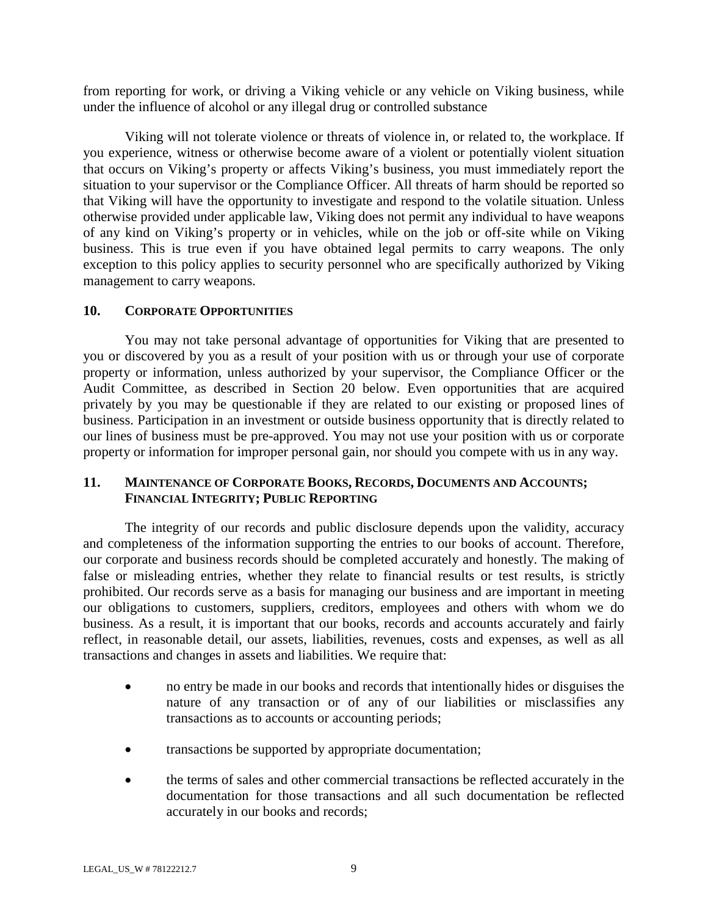from reporting for work, or driving a Viking vehicle or any vehicle on Viking business, while under the influence of alcohol or any illegal drug or controlled substance

Viking will not tolerate violence or threats of violence in, or related to, the workplace. If you experience, witness or otherwise become aware of a violent or potentially violent situation that occurs on Viking's property or affects Viking's business, you must immediately report the situation to your supervisor or the Compliance Officer. All threats of harm should be reported so that Viking will have the opportunity to investigate and respond to the volatile situation. Unless otherwise provided under applicable law, Viking does not permit any individual to have weapons of any kind on Viking's property or in vehicles, while on the job or off-site while on Viking business. This is true even if you have obtained legal permits to carry weapons. The only exception to this policy applies to security personnel who are specifically authorized by Viking management to carry weapons.

## **10. CORPORATE OPPORTUNITIES**

You may not take personal advantage of opportunities for Viking that are presented to you or discovered by you as a result of your position with us or through your use of corporate property or information, unless authorized by your supervisor, the Compliance Officer or the Audit Committee, as described in Section 20 below. Even opportunities that are acquired privately by you may be questionable if they are related to our existing or proposed lines of business. Participation in an investment or outside business opportunity that is directly related to our lines of business must be pre-approved. You may not use your position with us or corporate property or information for improper personal gain, nor should you compete with us in any way.

# **11. MAINTENANCE OF CORPORATE BOOKS, RECORDS, DOCUMENTS AND ACCOUNTS; FINANCIAL INTEGRITY; PUBLIC REPORTING**

The integrity of our records and public disclosure depends upon the validity, accuracy and completeness of the information supporting the entries to our books of account. Therefore, our corporate and business records should be completed accurately and honestly. The making of false or misleading entries, whether they relate to financial results or test results, is strictly prohibited. Our records serve as a basis for managing our business and are important in meeting our obligations to customers, suppliers, creditors, employees and others with whom we do business. As a result, it is important that our books, records and accounts accurately and fairly reflect, in reasonable detail, our assets, liabilities, revenues, costs and expenses, as well as all transactions and changes in assets and liabilities. We require that:

- no entry be made in our books and records that intentionally hides or disguises the nature of any transaction or of any of our liabilities or misclassifies any transactions as to accounts or accounting periods;
- transactions be supported by appropriate documentation;
- the terms of sales and other commercial transactions be reflected accurately in the documentation for those transactions and all such documentation be reflected accurately in our books and records;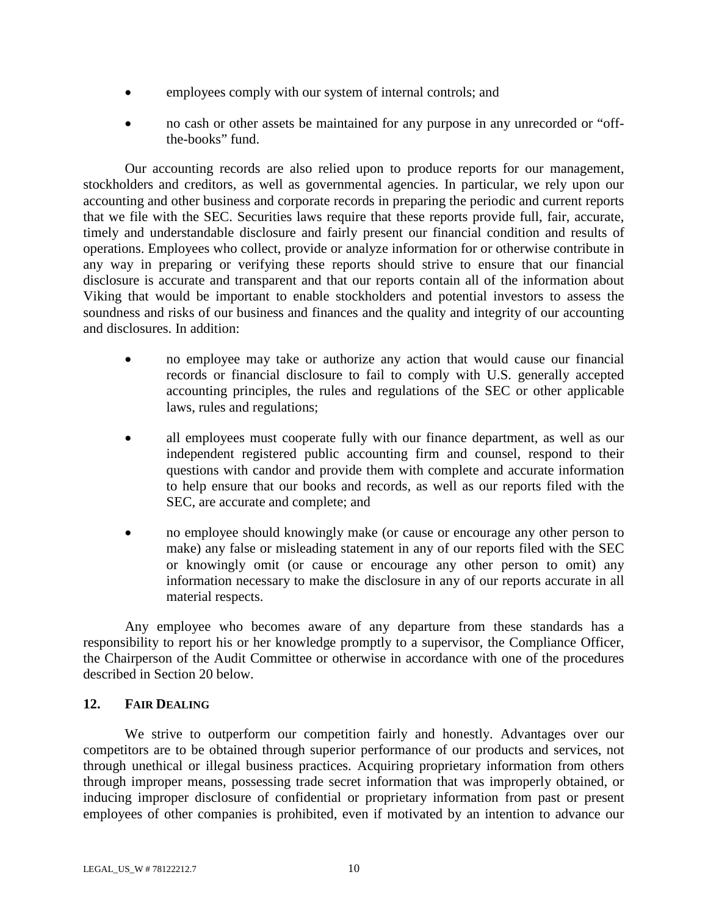- employees comply with our system of internal controls; and
- no cash or other assets be maintained for any purpose in any unrecorded or "offthe-books" fund.

Our accounting records are also relied upon to produce reports for our management, stockholders and creditors, as well as governmental agencies. In particular, we rely upon our accounting and other business and corporate records in preparing the periodic and current reports that we file with the SEC. Securities laws require that these reports provide full, fair, accurate, timely and understandable disclosure and fairly present our financial condition and results of operations. Employees who collect, provide or analyze information for or otherwise contribute in any way in preparing or verifying these reports should strive to ensure that our financial disclosure is accurate and transparent and that our reports contain all of the information about Viking that would be important to enable stockholders and potential investors to assess the soundness and risks of our business and finances and the quality and integrity of our accounting and disclosures. In addition:

- no employee may take or authorize any action that would cause our financial records or financial disclosure to fail to comply with U.S. generally accepted accounting principles, the rules and regulations of the SEC or other applicable laws, rules and regulations;
- all employees must cooperate fully with our finance department, as well as our independent registered public accounting firm and counsel, respond to their questions with candor and provide them with complete and accurate information to help ensure that our books and records, as well as our reports filed with the SEC, are accurate and complete; and
- no employee should knowingly make (or cause or encourage any other person to make) any false or misleading statement in any of our reports filed with the SEC or knowingly omit (or cause or encourage any other person to omit) any information necessary to make the disclosure in any of our reports accurate in all material respects.

Any employee who becomes aware of any departure from these standards has a responsibility to report his or her knowledge promptly to a supervisor, the Compliance Officer, the Chairperson of the Audit Committee or otherwise in accordance with one of the procedures described in Section 20 below.

## **12. FAIR DEALING**

We strive to outperform our competition fairly and honestly. Advantages over our competitors are to be obtained through superior performance of our products and services, not through unethical or illegal business practices. Acquiring proprietary information from others through improper means, possessing trade secret information that was improperly obtained, or inducing improper disclosure of confidential or proprietary information from past or present employees of other companies is prohibited, even if motivated by an intention to advance our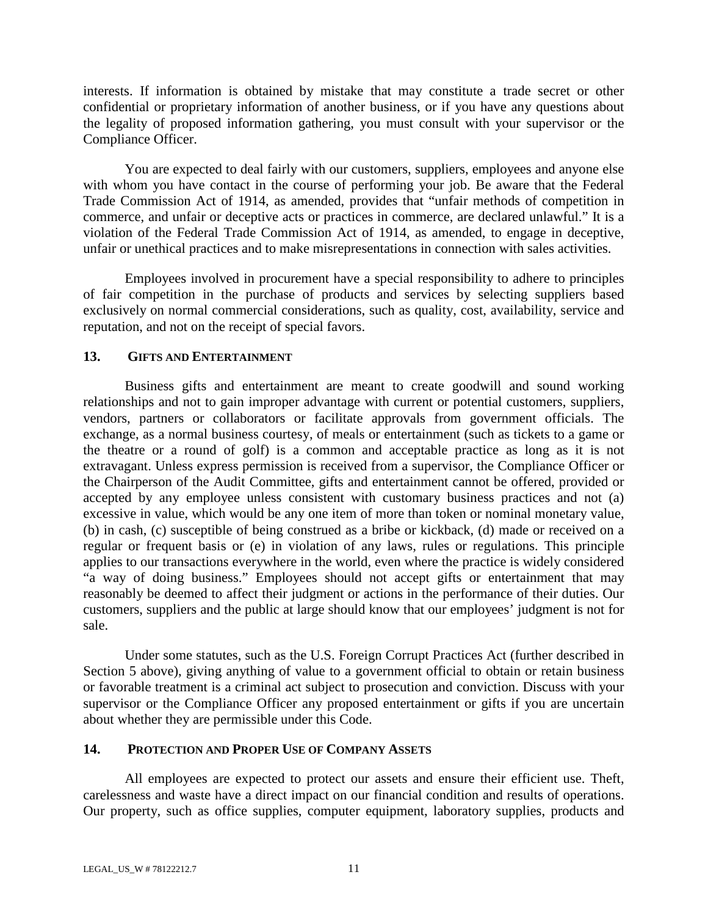interests. If information is obtained by mistake that may constitute a trade secret or other confidential or proprietary information of another business, or if you have any questions about the legality of proposed information gathering, you must consult with your supervisor or the Compliance Officer.

You are expected to deal fairly with our customers, suppliers, employees and anyone else with whom you have contact in the course of performing your job. Be aware that the Federal Trade Commission Act of 1914, as amended, provides that "unfair methods of competition in commerce, and unfair or deceptive acts or practices in commerce, are declared unlawful." It is a violation of the Federal Trade Commission Act of 1914, as amended, to engage in deceptive, unfair or unethical practices and to make misrepresentations in connection with sales activities.

Employees involved in procurement have a special responsibility to adhere to principles of fair competition in the purchase of products and services by selecting suppliers based exclusively on normal commercial considerations, such as quality, cost, availability, service and reputation, and not on the receipt of special favors.

# **13. GIFTS AND ENTERTAINMENT**

Business gifts and entertainment are meant to create goodwill and sound working relationships and not to gain improper advantage with current or potential customers, suppliers, vendors, partners or collaborators or facilitate approvals from government officials. The exchange, as a normal business courtesy, of meals or entertainment (such as tickets to a game or the theatre or a round of golf) is a common and acceptable practice as long as it is not extravagant. Unless express permission is received from a supervisor, the Compliance Officer or the Chairperson of the Audit Committee, gifts and entertainment cannot be offered, provided or accepted by any employee unless consistent with customary business practices and not (a) excessive in value, which would be any one item of more than token or nominal monetary value, (b) in cash, (c) susceptible of being construed as a bribe or kickback, (d) made or received on a regular or frequent basis or (e) in violation of any laws, rules or regulations. This principle applies to our transactions everywhere in the world, even where the practice is widely considered "a way of doing business." Employees should not accept gifts or entertainment that may reasonably be deemed to affect their judgment or actions in the performance of their duties. Our customers, suppliers and the public at large should know that our employees' judgment is not for sale.

Under some statutes, such as the U.S. Foreign Corrupt Practices Act (further described in Section 5 above), giving anything of value to a government official to obtain or retain business or favorable treatment is a criminal act subject to prosecution and conviction. Discuss with your supervisor or the Compliance Officer any proposed entertainment or gifts if you are uncertain about whether they are permissible under this Code.

## **14. PROTECTION AND PROPER USE OF COMPANY ASSETS**

All employees are expected to protect our assets and ensure their efficient use. Theft, carelessness and waste have a direct impact on our financial condition and results of operations. Our property, such as office supplies, computer equipment, laboratory supplies, products and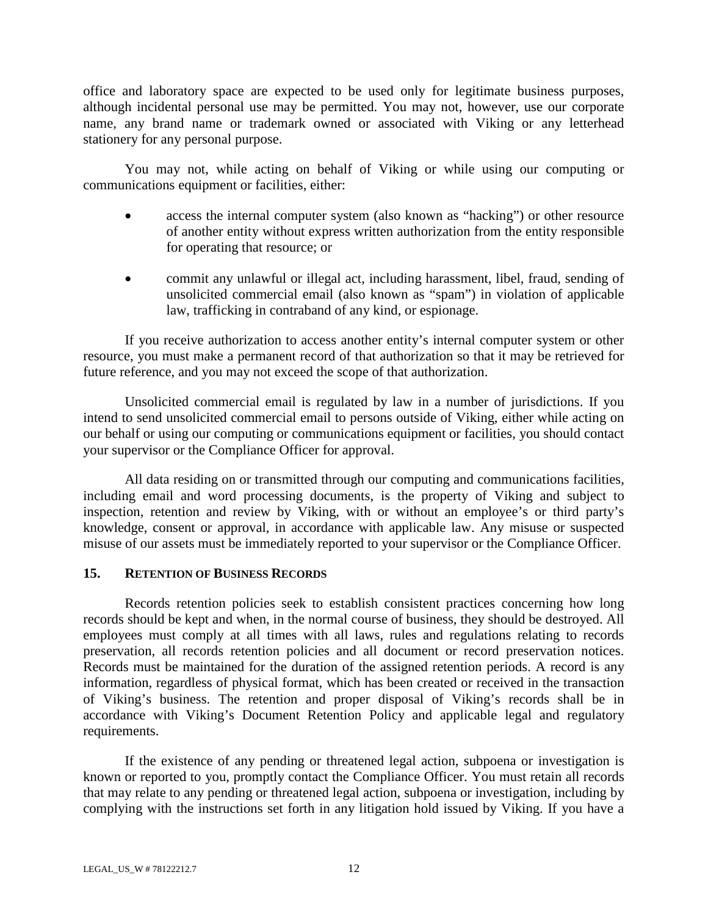office and laboratory space are expected to be used only for legitimate business purposes, although incidental personal use may be permitted. You may not, however, use our corporate name, any brand name or trademark owned or associated with Viking or any letterhead stationery for any personal purpose.

You may not, while acting on behalf of Viking or while using our computing or communications equipment or facilities, either:

- access the internal computer system (also known as "hacking") or other resource of another entity without express written authorization from the entity responsible for operating that resource; or
- commit any unlawful or illegal act, including harassment, libel, fraud, sending of unsolicited commercial email (also known as "spam") in violation of applicable law, trafficking in contraband of any kind, or espionage.

If you receive authorization to access another entity's internal computer system or other resource, you must make a permanent record of that authorization so that it may be retrieved for future reference, and you may not exceed the scope of that authorization.

Unsolicited commercial email is regulated by law in a number of jurisdictions. If you intend to send unsolicited commercial email to persons outside of Viking, either while acting on our behalf or using our computing or communications equipment or facilities, you should contact your supervisor or the Compliance Officer for approval.

All data residing on or transmitted through our computing and communications facilities, including email and word processing documents, is the property of Viking and subject to inspection, retention and review by Viking, with or without an employee's or third party's knowledge, consent or approval, in accordance with applicable law. Any misuse or suspected misuse of our assets must be immediately reported to your supervisor or the Compliance Officer.

## **15. RETENTION OF BUSINESS RECORDS**

Records retention policies seek to establish consistent practices concerning how long records should be kept and when, in the normal course of business, they should be destroyed. All employees must comply at all times with all laws, rules and regulations relating to records preservation, all records retention policies and all document or record preservation notices. Records must be maintained for the duration of the assigned retention periods. A record is any information, regardless of physical format, which has been created or received in the transaction of Viking's business. The retention and proper disposal of Viking's records shall be in accordance with Viking's Document Retention Policy and applicable legal and regulatory requirements.

If the existence of any pending or threatened legal action, subpoena or investigation is known or reported to you, promptly contact the Compliance Officer. You must retain all records that may relate to any pending or threatened legal action, subpoena or investigation, including by complying with the instructions set forth in any litigation hold issued by Viking. If you have a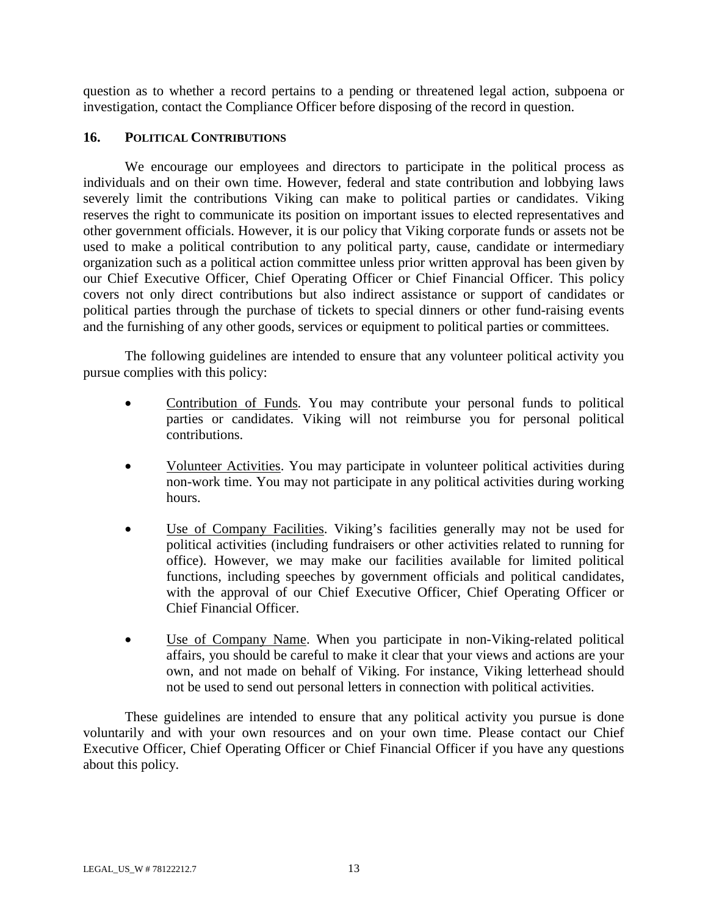question as to whether a record pertains to a pending or threatened legal action, subpoena or investigation, contact the Compliance Officer before disposing of the record in question.

## **16. POLITICAL CONTRIBUTIONS**

We encourage our employees and directors to participate in the political process as individuals and on their own time. However, federal and state contribution and lobbying laws severely limit the contributions Viking can make to political parties or candidates. Viking reserves the right to communicate its position on important issues to elected representatives and other government officials. However, it is our policy that Viking corporate funds or assets not be used to make a political contribution to any political party, cause, candidate or intermediary organization such as a political action committee unless prior written approval has been given by our Chief Executive Officer, Chief Operating Officer or Chief Financial Officer. This policy covers not only direct contributions but also indirect assistance or support of candidates or political parties through the purchase of tickets to special dinners or other fund-raising events and the furnishing of any other goods, services or equipment to political parties or committees.

The following guidelines are intended to ensure that any volunteer political activity you pursue complies with this policy:

- Contribution of Funds. You may contribute your personal funds to political parties or candidates. Viking will not reimburse you for personal political contributions.
- Volunteer Activities. You may participate in volunteer political activities during non-work time. You may not participate in any political activities during working hours.
- Use of Company Facilities. Viking's facilities generally may not be used for political activities (including fundraisers or other activities related to running for office). However, we may make our facilities available for limited political functions, including speeches by government officials and political candidates, with the approval of our Chief Executive Officer, Chief Operating Officer or Chief Financial Officer.
- Use of Company Name. When you participate in non-Viking-related political affairs, you should be careful to make it clear that your views and actions are your own, and not made on behalf of Viking. For instance, Viking letterhead should not be used to send out personal letters in connection with political activities.

These guidelines are intended to ensure that any political activity you pursue is done voluntarily and with your own resources and on your own time. Please contact our Chief Executive Officer, Chief Operating Officer or Chief Financial Officer if you have any questions about this policy.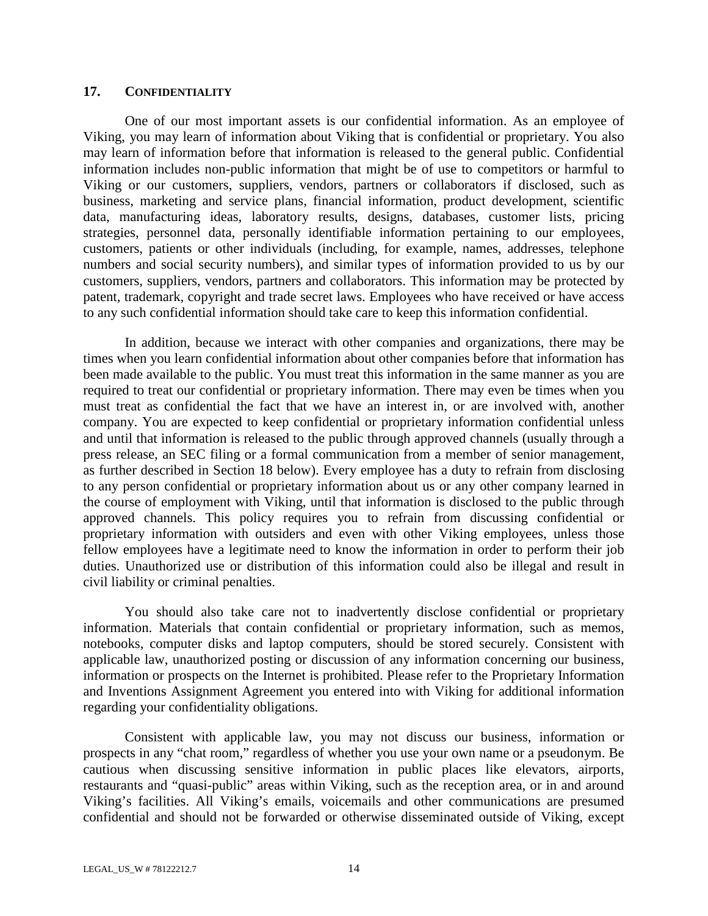#### **17. CONFIDENTIALITY**

One of our most important assets is our confidential information. As an employee of Viking, you may learn of information about Viking that is confidential or proprietary. You also may learn of information before that information is released to the general public. Confidential information includes non-public information that might be of use to competitors or harmful to Viking or our customers, suppliers, vendors, partners or collaborators if disclosed, such as business, marketing and service plans, financial information, product development, scientific data, manufacturing ideas, laboratory results, designs, databases, customer lists, pricing strategies, personnel data, personally identifiable information pertaining to our employees, customers, patients or other individuals (including, for example, names, addresses, telephone numbers and social security numbers), and similar types of information provided to us by our customers, suppliers, vendors, partners and collaborators. This information may be protected by patent, trademark, copyright and trade secret laws. Employees who have received or have access to any such confidential information should take care to keep this information confidential.

In addition, because we interact with other companies and organizations, there may be times when you learn confidential information about other companies before that information has been made available to the public. You must treat this information in the same manner as you are required to treat our confidential or proprietary information. There may even be times when you must treat as confidential the fact that we have an interest in, or are involved with, another company. You are expected to keep confidential or proprietary information confidential unless and until that information is released to the public through approved channels (usually through a press release, an SEC filing or a formal communication from a member of senior management, as further described in Section 18 below). Every employee has a duty to refrain from disclosing to any person confidential or proprietary information about us or any other company learned in the course of employment with Viking, until that information is disclosed to the public through approved channels. This policy requires you to refrain from discussing confidential or proprietary information with outsiders and even with other Viking employees, unless those fellow employees have a legitimate need to know the information in order to perform their job duties. Unauthorized use or distribution of this information could also be illegal and result in civil liability or criminal penalties.

You should also take care not to inadvertently disclose confidential or proprietary information. Materials that contain confidential or proprietary information, such as memos, notebooks, computer disks and laptop computers, should be stored securely. Consistent with applicable law, unauthorized posting or discussion of any information concerning our business, information or prospects on the Internet is prohibited. Please refer to the Proprietary Information and Inventions Assignment Agreement you entered into with Viking for additional information regarding your confidentiality obligations.

Consistent with applicable law, you may not discuss our business, information or prospects in any "chat room," regardless of whether you use your own name or a pseudonym. Be cautious when discussing sensitive information in public places like elevators, airports, restaurants and "quasi-public" areas within Viking, such as the reception area, or in and around Viking's facilities. All Viking's emails, voicemails and other communications are presumed confidential and should not be forwarded or otherwise disseminated outside of Viking, except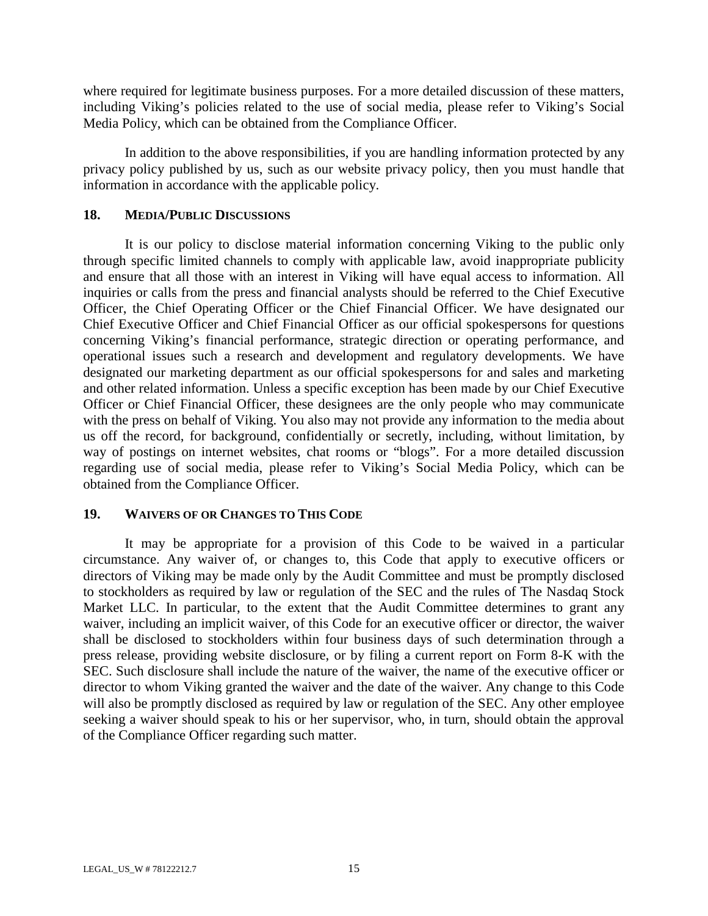where required for legitimate business purposes. For a more detailed discussion of these matters, including Viking's policies related to the use of social media, please refer to Viking's Social Media Policy, which can be obtained from the Compliance Officer.

In addition to the above responsibilities, if you are handling information protected by any privacy policy published by us, such as our website privacy policy, then you must handle that information in accordance with the applicable policy.

#### **18. MEDIA/PUBLIC DISCUSSIONS**

It is our policy to disclose material information concerning Viking to the public only through specific limited channels to comply with applicable law, avoid inappropriate publicity and ensure that all those with an interest in Viking will have equal access to information. All inquiries or calls from the press and financial analysts should be referred to the Chief Executive Officer, the Chief Operating Officer or the Chief Financial Officer. We have designated our Chief Executive Officer and Chief Financial Officer as our official spokespersons for questions concerning Viking's financial performance, strategic direction or operating performance, and operational issues such a research and development and regulatory developments. We have designated our marketing department as our official spokespersons for and sales and marketing and other related information. Unless a specific exception has been made by our Chief Executive Officer or Chief Financial Officer, these designees are the only people who may communicate with the press on behalf of Viking. You also may not provide any information to the media about us off the record, for background, confidentially or secretly, including, without limitation, by way of postings on internet websites, chat rooms or "blogs". For a more detailed discussion regarding use of social media, please refer to Viking's Social Media Policy, which can be obtained from the Compliance Officer.

## **19. WAIVERS OF OR CHANGES TO THIS CODE**

It may be appropriate for a provision of this Code to be waived in a particular circumstance. Any waiver of, or changes to, this Code that apply to executive officers or directors of Viking may be made only by the Audit Committee and must be promptly disclosed to stockholders as required by law or regulation of the SEC and the rules of The Nasdaq Stock Market LLC. In particular, to the extent that the Audit Committee determines to grant any waiver, including an implicit waiver, of this Code for an executive officer or director, the waiver shall be disclosed to stockholders within four business days of such determination through a press release, providing website disclosure, or by filing a current report on Form 8-K with the SEC. Such disclosure shall include the nature of the waiver, the name of the executive officer or director to whom Viking granted the waiver and the date of the waiver. Any change to this Code will also be promptly disclosed as required by law or regulation of the SEC. Any other employee seeking a waiver should speak to his or her supervisor, who, in turn, should obtain the approval of the Compliance Officer regarding such matter.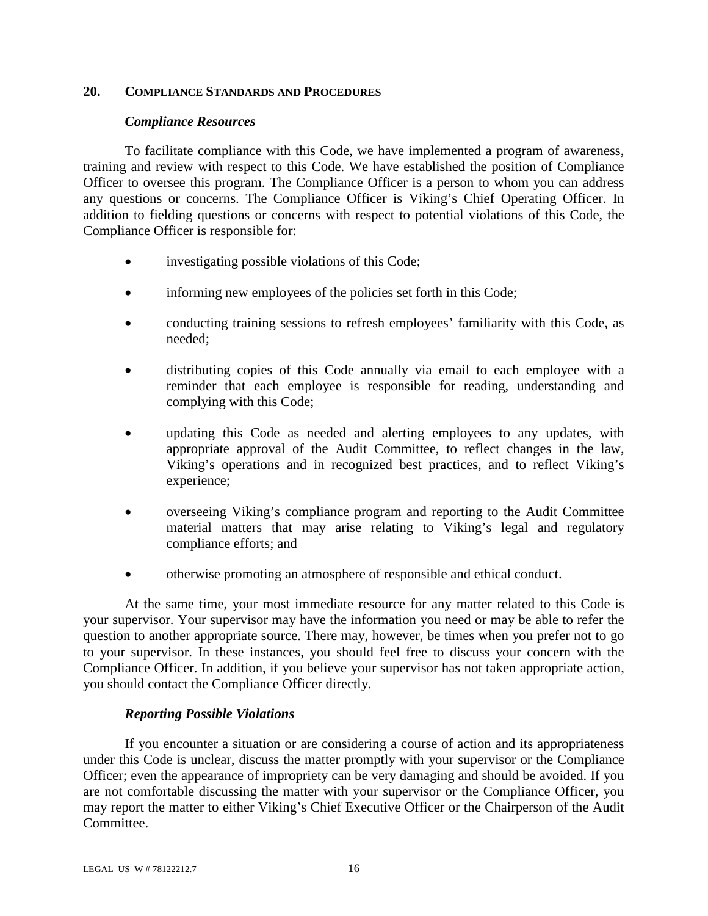#### **20. COMPLIANCE STANDARDS AND PROCEDURES**

#### *Compliance Resources*

To facilitate compliance with this Code, we have implemented a program of awareness, training and review with respect to this Code. We have established the position of Compliance Officer to oversee this program. The Compliance Officer is a person to whom you can address any questions or concerns. The Compliance Officer is Viking's Chief Operating Officer. In addition to fielding questions or concerns with respect to potential violations of this Code, the Compliance Officer is responsible for:

- investigating possible violations of this Code;
- informing new employees of the policies set forth in this Code;
- conducting training sessions to refresh employees' familiarity with this Code, as needed;
- distributing copies of this Code annually via email to each employee with a reminder that each employee is responsible for reading, understanding and complying with this Code;
- updating this Code as needed and alerting employees to any updates, with appropriate approval of the Audit Committee, to reflect changes in the law, Viking's operations and in recognized best practices, and to reflect Viking's experience;
- overseeing Viking's compliance program and reporting to the Audit Committee material matters that may arise relating to Viking's legal and regulatory compliance efforts; and
- otherwise promoting an atmosphere of responsible and ethical conduct.

At the same time, your most immediate resource for any matter related to this Code is your supervisor. Your supervisor may have the information you need or may be able to refer the question to another appropriate source. There may, however, be times when you prefer not to go to your supervisor. In these instances, you should feel free to discuss your concern with the Compliance Officer. In addition, if you believe your supervisor has not taken appropriate action, you should contact the Compliance Officer directly.

## *Reporting Possible Violations*

If you encounter a situation or are considering a course of action and its appropriateness under this Code is unclear, discuss the matter promptly with your supervisor or the Compliance Officer; even the appearance of impropriety can be very damaging and should be avoided. If you are not comfortable discussing the matter with your supervisor or the Compliance Officer, you may report the matter to either Viking's Chief Executive Officer or the Chairperson of the Audit Committee.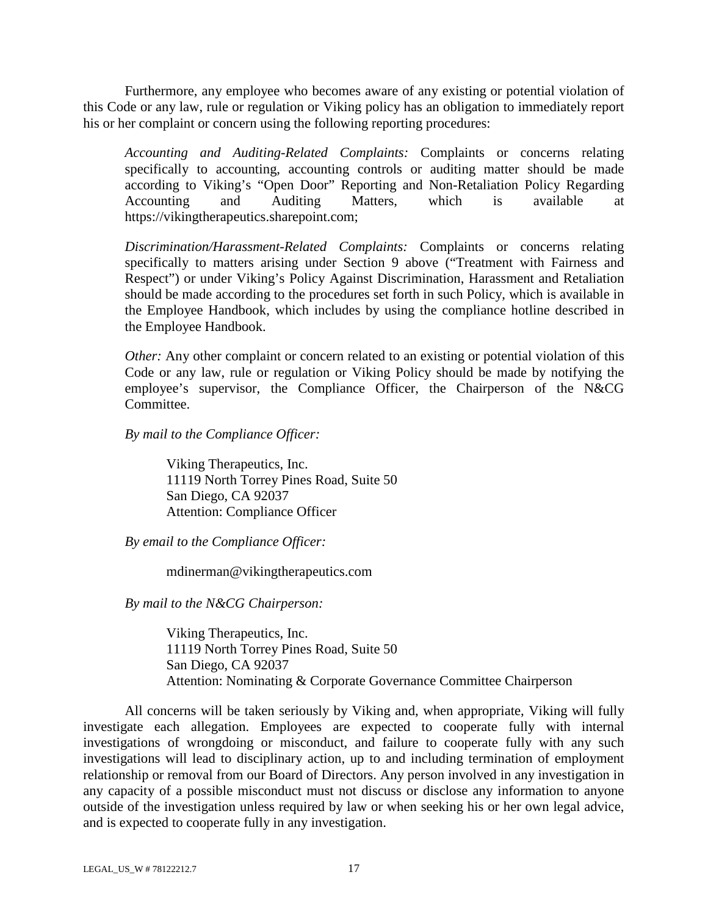Furthermore, any employee who becomes aware of any existing or potential violation of this Code or any law, rule or regulation or Viking policy has an obligation to immediately report his or her complaint or concern using the following reporting procedures:

*Accounting and Auditing-Related Complaints:* Complaints or concerns relating specifically to accounting, accounting controls or auditing matter should be made according to Viking's "Open Door" Reporting and Non-Retaliation Policy Regarding Accounting and Auditing Matters, which is available at https://vikingtherapeutics.sharepoint.com;

*Discrimination/Harassment-Related Complaints:* Complaints or concerns relating specifically to matters arising under Section 9 above ("Treatment with Fairness and Respect") or under Viking's Policy Against Discrimination, Harassment and Retaliation should be made according to the procedures set forth in such Policy, which is available in the Employee Handbook, which includes by using the compliance hotline described in the Employee Handbook.

*Other:* Any other complaint or concern related to an existing or potential violation of this Code or any law, rule or regulation or Viking Policy should be made by notifying the employee's supervisor, the Compliance Officer, the Chairperson of the N&CG Committee.

*By mail to the Compliance Officer:* 

Viking Therapeutics, Inc. 11119 North Torrey Pines Road, Suite 50 San Diego, CA 92037 Attention: Compliance Officer

*By email to the Compliance Officer:*

mdinerman@vikingtherapeutics.com

*By mail to the N&CG Chairperson:* 

Viking Therapeutics, Inc. 11119 North Torrey Pines Road, Suite 50 San Diego, CA 92037 Attention: Nominating & Corporate Governance Committee Chairperson

All concerns will be taken seriously by Viking and, when appropriate, Viking will fully investigate each allegation. Employees are expected to cooperate fully with internal investigations of wrongdoing or misconduct, and failure to cooperate fully with any such investigations will lead to disciplinary action, up to and including termination of employment relationship or removal from our Board of Directors. Any person involved in any investigation in any capacity of a possible misconduct must not discuss or disclose any information to anyone outside of the investigation unless required by law or when seeking his or her own legal advice, and is expected to cooperate fully in any investigation.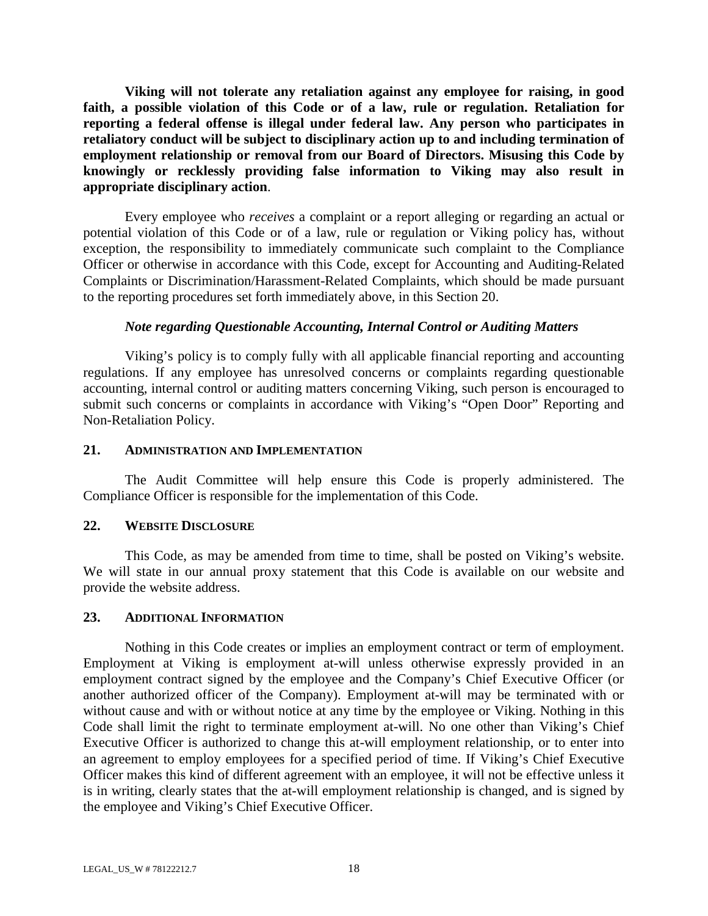**Viking will not tolerate any retaliation against any employee for raising, in good faith, a possible violation of this Code or of a law, rule or regulation. Retaliation for reporting a federal offense is illegal under federal law. Any person who participates in retaliatory conduct will be subject to disciplinary action up to and including termination of employment relationship or removal from our Board of Directors. Misusing this Code by knowingly or recklessly providing false information to Viking may also result in appropriate disciplinary action**.

Every employee who *receives* a complaint or a report alleging or regarding an actual or potential violation of this Code or of a law, rule or regulation or Viking policy has, without exception, the responsibility to immediately communicate such complaint to the Compliance Officer or otherwise in accordance with this Code, except for Accounting and Auditing-Related Complaints or Discrimination/Harassment-Related Complaints, which should be made pursuant to the reporting procedures set forth immediately above, in this Section 20.

#### *Note regarding Questionable Accounting, Internal Control or Auditing Matters*

Viking's policy is to comply fully with all applicable financial reporting and accounting regulations. If any employee has unresolved concerns or complaints regarding questionable accounting, internal control or auditing matters concerning Viking, such person is encouraged to submit such concerns or complaints in accordance with Viking's "Open Door" Reporting and Non-Retaliation Policy.

#### **21. ADMINISTRATION AND IMPLEMENTATION**

The Audit Committee will help ensure this Code is properly administered. The Compliance Officer is responsible for the implementation of this Code.

## **22. WEBSITE DISCLOSURE**

This Code, as may be amended from time to time, shall be posted on Viking's website. We will state in our annual proxy statement that this Code is available on our website and provide the website address.

#### **23. ADDITIONAL INFORMATION**

Nothing in this Code creates or implies an employment contract or term of employment. Employment at Viking is employment at-will unless otherwise expressly provided in an employment contract signed by the employee and the Company's Chief Executive Officer (or another authorized officer of the Company). Employment at-will may be terminated with or without cause and with or without notice at any time by the employee or Viking. Nothing in this Code shall limit the right to terminate employment at-will. No one other than Viking's Chief Executive Officer is authorized to change this at-will employment relationship, or to enter into an agreement to employ employees for a specified period of time. If Viking's Chief Executive Officer makes this kind of different agreement with an employee, it will not be effective unless it is in writing, clearly states that the at-will employment relationship is changed, and is signed by the employee and Viking's Chief Executive Officer.